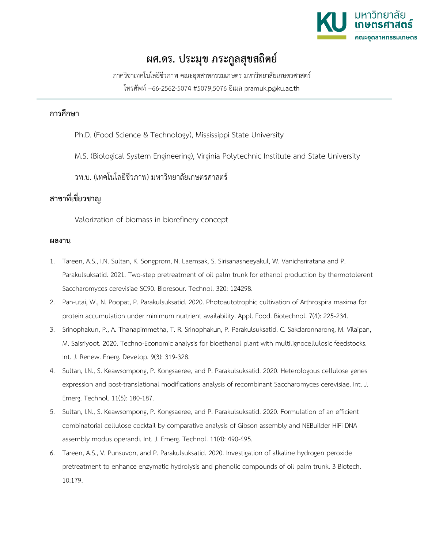

## **ผศ.ดร. ประมุข ภระกูลสุขสถิตย์**

ภาควิชาเทคโนโลยีชีวภาพ คณะอุตสาหกรรมเกษตร มหาวิทยาลัยเกษตรศาสตร์ โทรศัพท์ +66-2562-5074 #5079,5076 อีเมล pramuk.p@ku.ac.th

## **การศึกษา**

Ph.D. (Food Science & Technology), Mississippi State University

M.S. (Biological System Engineering), Virginia Polytechnic Institute and State University

วท.บ. (เทคโนโลยีชีวภาพ) มหาวิทยาลัยเกษตรศาสตร์

## **สาขาที่เชี่ยวชาญ**

Valorization of biomass in biorefinery concept

## **ผลงาน**

- 1. Tareen, A.S., I.N. Sultan, K. Songprom, N. Laemsak, S. Sirisanasneeyakul, W. Vanichsriratana and P. Parakulsuksatid. 2021. Two-step pretreatment of oil palm trunk for ethanol production by thermotolerent Saccharomyces cerevisiae SC90. Bioresour. Technol. 320: 124298.
- 2. Pan-utai, W., N. Poopat, P. Parakulsuksatid. 2020. Photoautotrophic cultivation of Arthrospira maxima for protein accumulation under minimum nurtrient availability. Appl. Food. Biotechnol. 7(4): 225-234.
- 3. Srinophakun, P., A. Thanapimmetha, T. R. Srinophakun, P. Parakulsuksatid. C. Sakdaronnarong, M. Vilaipan, M. Saisriyoot. 2020. Techno-Economic analysis for bioethanol plant with multilignocellulosic feedstocks. Int. J. Renew. Energ. Develop. 9(3): 319-328.
- 4. Sultan, I.N., S. Keawsompong, P. Kongsaeree, and P. Parakulsuksatid. 2020. Heterologous cellulose genes expression and post-translational modifications analysis of recombinant Saccharomyces cerevisiae. Int. J. Emerg. Technol. 11(5): 180-187.
- 5. Sultan, I.N., S. Keawsompong, P. Kongsaeree, and P. Parakulsuksatid. 2020. Formulation of an efficient combinatorial cellulose cocktail by comparative analysis of Gibson assembly and NEBuilder HiFi DNA assembly modus operandi. Int. J. Emerg. Technol. 11(4): 490-495.
- 6. Tareen, A.S., V. Punsuvon, and P. Parakulsuksatid. 2020. Investigation of alkaline hydrogen peroxide pretreatment to enhance enzymatic hydrolysis and phenolic compounds of oil palm trunk. 3 Biotech. 10:179.